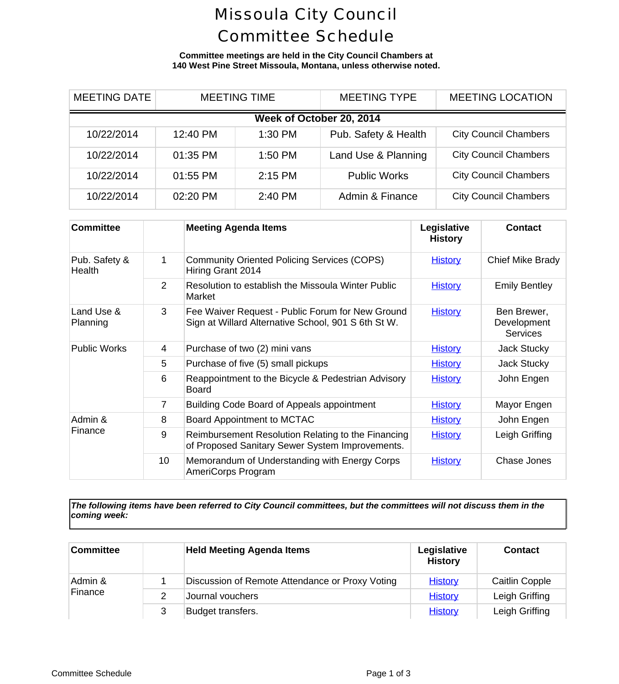# Missoula City Council Committee Schedule

**Committee meetings are held in the City Council Chambers at 140 West Pine Street Missoula, Montana, unless otherwise noted.**

| <b>MEETING DATE</b> | <b>MEETING TIME</b> |                          | <b>MEETING TYPE</b>  | <b>MEETING LOCA</b>      |  |
|---------------------|---------------------|--------------------------|----------------------|--------------------------|--|
|                     |                     | Week of October 20, 2014 |                      |                          |  |
| 10/22/2014          | 12:40 PM            | 1:30 PM                  | Pub. Safety & Health | <b>City Council Cham</b> |  |
| 10/22/2014          | 01:35 PM            | 1:50 PM                  | Land Use & Planning  | <b>City Council Cham</b> |  |
| 10/22/2014          | 01:55 PM            | 2:15 PM                  | <b>Public Works</b>  | <b>City Council Cham</b> |  |
| 10/22/2014          | 02:20 PM            | 2:40 PM                  | Admin & Finance      | <b>City Council Cham</b> |  |

| <b>Committee</b>        |                 | <b>Meeting Agenda Items</b>                                                                             | Legislative<br><b>History</b> | Cont                                |
|-------------------------|-----------------|---------------------------------------------------------------------------------------------------------|-------------------------------|-------------------------------------|
| Pub. Safety &<br>Health | 1               | <b>Community Oriented Policing Services (COPS)</b><br>Hiring Grant 2014                                 | <b>History</b>                | <b>Chief Mike</b>                   |
|                         | 2               | Resolution to establish the Missoula Winter Public<br>Market                                            | <b>History</b>                | Emily B                             |
| Land Use &<br>Planning  | 3               | Fee Waiver Request - Public Forum for New Ground<br>Sign at Willard Alternative School, 901 S 6th St W. | <b>History</b>                | <b>Ben Bre</b><br>Develop<br>Servid |
| <b>Public Works</b>     | 4               | Purchase of two (2) mini vans                                                                           | <b>History</b>                | Jack St                             |
|                         | 5               | Purchase of five (5) small pickups                                                                      | <b>History</b>                | Jack St                             |
|                         | 6               | Reappointment to the Bicycle & Pedestrian Advisory<br><b>Board</b>                                      | <b>History</b>                | John El                             |
|                         | 7               | Building Code Board of Appeals appointment                                                              | <b>History</b>                | Mayor E                             |
| Admin &<br>Finance      | 8               | Board Appointment to MCTAC                                                                              | <b>History</b>                | John El                             |
|                         | 9               | Reimbursement Resolution Relating to the Financing<br>of Proposed Sanitary Sewer System Improvements.   | <b>History</b>                | Leigh G                             |
|                         | 10 <sup>°</sup> | Memorandum of Understanding with Energy Corps<br>AmeriCorps Program                                     | <b>History</b>                | Chase J                             |

*The following items have been referred to City Council committees, but the committees will not discuss them in the coming week:*

| Committee |   | <b>Held Meeting Agenda Items</b>                | Legislative<br><b>History</b> | Conta     |
|-----------|---|-------------------------------------------------|-------------------------------|-----------|
| Admin &   |   | Discussion of Remote Attendance or Proxy Voting | <b>History</b>                | Caitlin C |
| Finance   |   | Journal vouchers                                | <b>History</b>                | Leigh Gr  |
|           | 3 | Budget transfers.                               | <b>History</b>                | Leigh Gr  |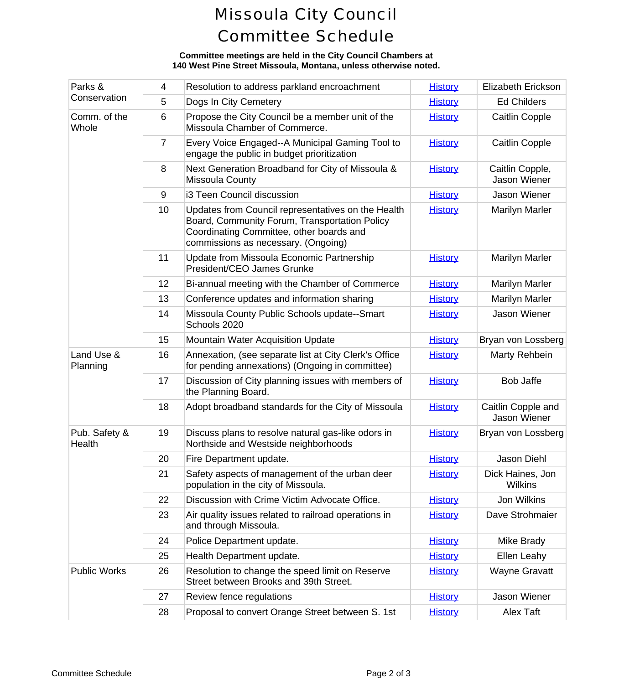# Missoula City Council Committee Schedule

### **Committee meetings are held in the City Council Chambers at 140 West Pine Street Missoula, Montana, unless otherwise noted.**

| Parks &<br>Conservation | 4               | Resolution to address parkland encroachment                                                                                                                                            | <b>History</b> | Elizabeth E            |
|-------------------------|-----------------|----------------------------------------------------------------------------------------------------------------------------------------------------------------------------------------|----------------|------------------------|
|                         | 5               | Dogs In City Cemetery                                                                                                                                                                  | <b>History</b> | Ed Chile               |
| Comm. of the<br>Whole   | 6               | Propose the City Council be a member unit of the<br>Missoula Chamber of Commerce.                                                                                                      | <b>History</b> | Caitlin C              |
|                         | $\overline{7}$  | Every Voice Engaged--A Municipal Gaming Tool to<br>engage the public in budget prioritization                                                                                          | <b>History</b> | Caitlin C              |
|                         | 8               | Next Generation Broadband for City of Missoula &<br>Missoula County                                                                                                                    | <b>History</b> | Caitlin Co<br>Jason W  |
|                         | 9               | i3 Teen Council discussion                                                                                                                                                             | <b>History</b> | Jason W                |
|                         | 10              | Updates from Council representatives on the Health<br>Board, Community Forum, Transportation Policy<br>Coordinating Committee, other boards and<br>commissions as necessary. (Ongoing) | <b>History</b> | Marilyn N              |
|                         | 11              | Update from Missoula Economic Partnership<br>President/CEO James Grunke                                                                                                                | <b>History</b> | Marilyn N              |
|                         | 12 <sub>2</sub> | Bi-annual meeting with the Chamber of Commerce                                                                                                                                         | <b>History</b> | Marilyn N              |
|                         | 13              | Conference updates and information sharing                                                                                                                                             | <b>History</b> | Marilyn N              |
|                         | 14              | Missoula County Public Schools update--Smart<br>Schools 2020                                                                                                                           | <b>History</b> | Jason W                |
|                         | 15              | <b>Mountain Water Acquisition Update</b>                                                                                                                                               | <b>History</b> | Bryan von L            |
| Land Use &<br>Planning  | 16              | Annexation, (see separate list at City Clerk's Office<br>for pending annexations) (Ongoing in committee)                                                                               | <b>History</b> | Marty Re               |
|                         | 17              | Discussion of City planning issues with members of<br>the Planning Board.                                                                                                              | <b>History</b> | Bob Ja                 |
|                         | 18              | Adopt broadband standards for the City of Missoula                                                                                                                                     | <b>History</b> | Caitlin Cop<br>Jason W |
| Pub. Safety &<br>Health | 19              | Discuss plans to resolve natural gas-like odors in<br>Northside and Westside neighborhoods                                                                                             | <b>History</b> | Bryan von L            |
|                         | 20              | Fire Department update.                                                                                                                                                                | <b>History</b> | Jason D                |
|                         | 21              | Safety aspects of management of the urban deer<br>population in the city of Missoula.                                                                                                  | <b>History</b> | Dick Haine<br>Wilkir   |
|                         | 22              | Discussion with Crime Victim Advocate Office.                                                                                                                                          | <b>History</b> | Jon Wil                |
|                         | 23              | Air quality issues related to railroad operations in<br>and through Missoula.                                                                                                          | <b>History</b> | Dave Stro              |
|                         | 24              | Police Department update.                                                                                                                                                              | <b>History</b> | Mike Br                |
|                         | 25              | Health Department update.                                                                                                                                                              | <b>History</b> | Ellen Le               |
| <b>Public Works</b>     | 26              | Resolution to change the speed limit on Reserve<br>Street between Brooks and 39th Street.                                                                                              | <b>History</b> | Wayne G                |
|                         | 27              | Review fence regulations                                                                                                                                                               | <b>History</b> | Jason W                |
|                         | 28              | Proposal to convert Orange Street between S. 1st                                                                                                                                       | <b>History</b> | Alex T                 |